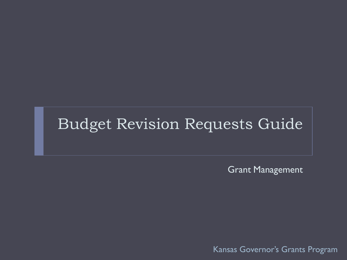#### Budget Revision Requests Guide

Grant Management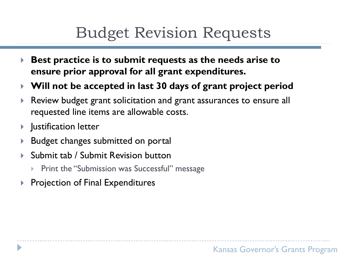## Budget Revision Requests

- **Best practice is to submit requests as the needs arise to ensure prior approval for all grant expenditures.**
- **Will not be accepted in last 30 days of grant project period**
- Review budget grant solicitation and grant assurances to ensure all requested line items are allowable costs.
- Justification letter
- **Budget changes submitted on portal**
- ▶ Submit tab / Submit Revision button
	- Print the "Submission was Successful" message
- **Projection of Final Expenditures**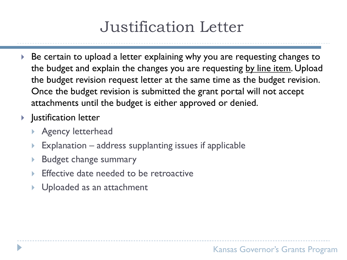# Justification Letter

- Be certain to upload a letter explaining why you are requesting changes to the budget and explain the changes you are requesting by line item. Upload the budget revision request letter at the same time as the budget revision. Once the budget revision is submitted the grant portal will not accept attachments until the budget is either approved or denied.
- **I** Justification letter
	- **Agency letterhead**
	- Explanation address supplanting issues if applicable
	- Budget change summary
	- Effective date needed to be retroactive
	- Uploaded as an attachment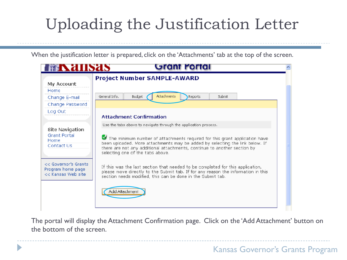When the justification letter is prepared, click on the 'Attachments' tab at the top of the screen.

| <b>FRAIISAS</b>                                                  | Grant Portal                                                                                                                                                                                                                                                                                                                                                                    |  |
|------------------------------------------------------------------|---------------------------------------------------------------------------------------------------------------------------------------------------------------------------------------------------------------------------------------------------------------------------------------------------------------------------------------------------------------------------------|--|
| My Account<br>Home<br>Change E-mail<br>Change Password           | <b>Project Number SAMPLE-AWARD</b><br><b>Attachments</b><br>General Info.<br>Budget<br>Reports<br>Submit                                                                                                                                                                                                                                                                        |  |
| Log Out<br>Site Navigation<br>Grant Portal<br>Home<br>Contact Us | <b>Attachment Confirmation</b><br>Use the tabs above to navigate through the application process.<br>The minimum number of attachments required for this grant application have<br>been uploaded. More attachments may be added by selecting the link below. If<br>there are not any additional attachments, continue to another section by<br>selecting one of the tabs above. |  |
| << Governor's Grants<br>Program home page<br><< Kansas Web site  | If this was the last section that needed to be completed for this application,<br>please move directly to the Submit tab. If for any reason the information in this<br>section needs modified, this can be done in the Submit tab.<br>Add Attachment                                                                                                                            |  |

The portal will display the Attachment Confirmation page. Click on the 'Add Attachment' button on the bottom of the screen.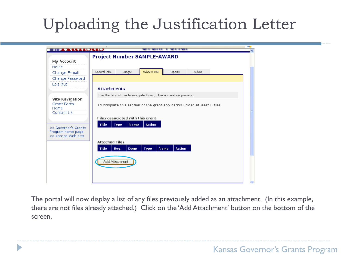| <b>THE ANNUAL CONTRACTOR</b>                                    |                                                                                         | -- |
|-----------------------------------------------------------------|-----------------------------------------------------------------------------------------|----|
| My Account                                                      | <b>Project Number SAMPLE-AWARD</b>                                                      |    |
| Home                                                            |                                                                                         |    |
| Change E-mail                                                   | Attachments<br>General Info.<br>Budget<br>Submit<br>Reports                             |    |
| Change Password<br>Log Out                                      |                                                                                         |    |
|                                                                 | <b>Attachments</b>                                                                      |    |
| Site Navigation                                                 | Use the tabs above to navigate through the application process.                         |    |
| <b>Grant Portal</b><br>Home<br>Contact Us                       | To complete this section of the grant application upload at least 0 files.              |    |
|                                                                 | Files associated with this grant.                                                       |    |
| << Governor's Grants<br>Program home page<br><< Kansas Web site | <b>Title</b><br><b>Action</b><br>Type<br>Name                                           |    |
|                                                                 | <b>Attached Files</b><br><b>Action</b><br><b>Title</b><br>Req.<br>Done<br>Type:<br>Name |    |
|                                                                 |                                                                                         |    |
|                                                                 | Add Attachment                                                                          |    |
|                                                                 |                                                                                         |    |

The portal will now display a list of any files previously added as an attachment. (In this example, there are not files already attached.) Click on the 'Add Attachment' button on the bottom of the screen.

D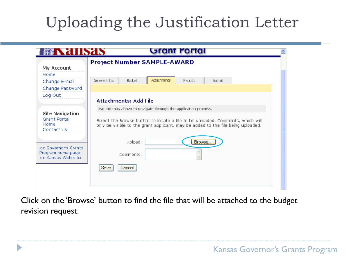| FINNING ST                                            | Grant Portal                                                                                                                                                       |  |
|-------------------------------------------------------|--------------------------------------------------------------------------------------------------------------------------------------------------------------------|--|
|                                                       | Project Number SAMPLE-AWARD                                                                                                                                        |  |
| My Account<br>Home                                    |                                                                                                                                                                    |  |
| Change E-mail                                         | <b>Attachments</b><br>General Info.<br>Budget<br>Submit<br><b>Reports</b>                                                                                          |  |
| Change Password                                       |                                                                                                                                                                    |  |
| Log Out                                               | Attachments: Add File                                                                                                                                              |  |
|                                                       | Use the tabs above to navigate through the application process.                                                                                                    |  |
| Site Navigation<br>Grant Portal<br>Home<br>Contact Us | Select the Browse button to locate a file to be uploaded. Comments, which will<br>only be visible to the grant applicant, may be added to the file being uploaded. |  |
| << Governor's Grants                                  | Browse.<br>Upload:                                                                                                                                                 |  |
| Program home page<br>kk Kansas Web site               | Comments:                                                                                                                                                          |  |
|                                                       | Save<br>Cancel                                                                                                                                                     |  |
|                                                       |                                                                                                                                                                    |  |
|                                                       |                                                                                                                                                                    |  |

Click on the 'Browse' button to find the file that will be attached to the budget revision request.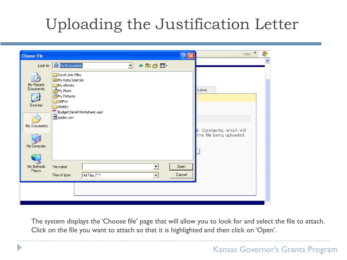| Lock in: My Documents<br>←面前图~<br>$\vert \cdot \vert$                                                                                                                                                                                                                                               |                                                                               |  |
|-----------------------------------------------------------------------------------------------------------------------------------------------------------------------------------------------------------------------------------------------------------------------------------------------------|-------------------------------------------------------------------------------|--|
| Carel User Files<br><b>My Data Sources</b><br>My Recent<br>My eBooks<br>Documents<br>My Music<br><mark>凸</mark> My Pictures<br><b>D</b> QPPriv<br>Desktop<br><b>WebEx</b><br>Budget Detail Worksheet.wpd<br>spider.sev<br>My Documents<br>My Computer<br>Open<br>My Network<br>File name:<br>Places | $[2] \times$<br>Submit<br>d. Comments, which will<br>the file being uploaded. |  |

D

The system displays the 'Choose file' page that will allow you to look for and select the file to attach. Click on the file you want to attach so that it is highlighted and then click on 'Open'.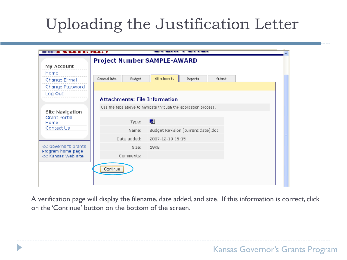|                                           | Project Number SAMPLE-AWARD   |                                                                 |  |
|-------------------------------------------|-------------------------------|-----------------------------------------------------------------|--|
| My Account<br>Home                        |                               |                                                                 |  |
| Change E-mail                             | General Info.<br>Budget       | Attachments<br>Reports<br>Submit                                |  |
| Change Password                           |                               |                                                                 |  |
| Log Out                                   | Attachments: File Information |                                                                 |  |
|                                           |                               | Use the tabs above to navigate through the application process. |  |
| Site Navigation<br>Grant Portal           |                               |                                                                 |  |
| Home                                      | Type:                         | 뼨                                                               |  |
| Contact Us                                | Name:                         | Budget Revision [current date].doc                              |  |
|                                           | Date added:                   | 2007-12-19 15:15                                                |  |
| << Governor's Grants<br>Program home page | Size:                         | 19KB                                                            |  |
| << Kansas Web site                        | Comments:                     |                                                                 |  |
|                                           | Continue                      |                                                                 |  |

A verification page will display the filename, date added, and size. If this information is correct, click on the 'Continue' button on the bottom of the screen.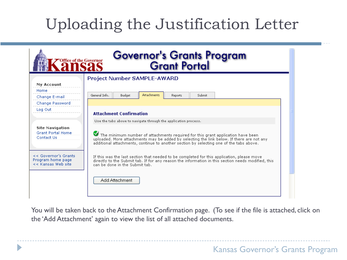| <b>Office of the Governor</b>                                    | Governor's Grants Program<br>Grant Portal                                                                                                                                                                                                                               |  |
|------------------------------------------------------------------|-------------------------------------------------------------------------------------------------------------------------------------------------------------------------------------------------------------------------------------------------------------------------|--|
| My Account<br>Home<br>Change E-mail<br>Change Password           | Project Number SAMPLE-AWARD<br><b>Attachments</b><br>General Info.<br><b>Budget</b><br>Submit<br><b>Reports</b>                                                                                                                                                         |  |
| Log Out                                                          | <b>Attachment Confirmation</b><br>Use the tabs above to navigate through the application process.                                                                                                                                                                       |  |
| <b>Site Navigation</b><br><b>Grant Portal Home</b><br>Contact Us | The minimum number of attachments required for this grant application have been<br>uploaded. More attachments may be added by selecting the link below. If there are not any<br>additional attachments, continue to another section by selecting one of the tabs above. |  |
| << Governor's Grants<br>Program home page<br><< Kansas Web site  | If this was the last section that needed to be completed for this application, please move<br>directly to the Submit tab. If for any reason the information in this section needs modified, this<br>can be done in the Submit tab.                                      |  |
|                                                                  | Add Attachment                                                                                                                                                                                                                                                          |  |

You will be taken back to the Attachment Confirmation page. (To see if the file is attached, click on the 'Add Attachment' again to view the list of all attached documents.

D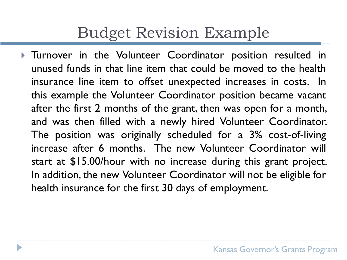#### Budget Revision Example

**Turnover in the Volunteer Coordinator position resulted in** unused funds in that line item that could be moved to the health insurance line item to offset unexpected increases in costs. In this example the Volunteer Coordinator position became vacant after the first 2 months of the grant, then was open for a month, and was then filled with a newly hired Volunteer Coordinator. The position was originally scheduled for a 3% cost-of-living increase after 6 months. The new Volunteer Coordinator will start at \$15.00/hour with no increase during this grant project. In addition, the new Volunteer Coordinator will not be eligible for health insurance for the first 30 days of employment.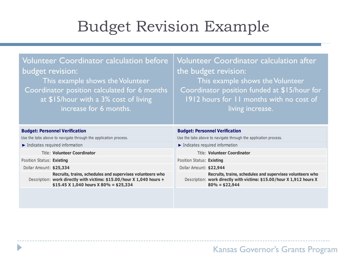#### Budget Revision Example

| Volunteer Coordinator calculation before<br>budget revision:<br>This example shows the Volunteer<br>Coordinator position calculated for 6 months<br>at \$15/hour with a 3% cost of living<br>increase for 6 months. | Volunteer Coordinator calculation after<br>the budget revision:<br>This example shows the Volunteer<br>Coordinator position funded at \$15/hour for<br>1912 hours for 11 months with no cost of<br>living increase. |  |  |  |  |
|---------------------------------------------------------------------------------------------------------------------------------------------------------------------------------------------------------------------|---------------------------------------------------------------------------------------------------------------------------------------------------------------------------------------------------------------------|--|--|--|--|
| <b>Budget: Personnel Verification</b>                                                                                                                                                                               | <b>Budget: Personnel Verification</b>                                                                                                                                                                               |  |  |  |  |
|                                                                                                                                                                                                                     |                                                                                                                                                                                                                     |  |  |  |  |
| Use the tabs above to navigate through the application process.                                                                                                                                                     | Use the tabs above to navigate through the application process.                                                                                                                                                     |  |  |  |  |
| Indicates required information                                                                                                                                                                                      | $\blacktriangleright$ Indicates required information                                                                                                                                                                |  |  |  |  |
| <b>Title: Volunteer Coordinator</b>                                                                                                                                                                                 | Title: Volunteer Coordinator                                                                                                                                                                                        |  |  |  |  |
| Position Status: Existing                                                                                                                                                                                           | Position Status: Existing                                                                                                                                                                                           |  |  |  |  |
| Dollar Amount: \$25,334                                                                                                                                                                                             | Dollar Amount: \$22,944                                                                                                                                                                                             |  |  |  |  |
| Recruits, trains, schedules and supervises volunteers who<br>Description: work directly with victims: \$15.00/hour X 1,040 hours +<br>\$15.45 X 1,040 hours X 80% = \$25,334                                        | Recruits, trains, schedules and supervises volunteers who<br>Description: work directly with victims: \$15.00/hour X 1,912 hours X<br>$80\% = $22,944$                                                              |  |  |  |  |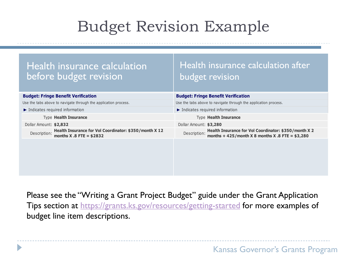## Budget Revision Example

| Health insurance calculation<br>before budget revision                                               | Health insurance calculation after<br><b>budget revision</b>                                                            |
|------------------------------------------------------------------------------------------------------|-------------------------------------------------------------------------------------------------------------------------|
| <b>Budget: Fringe Benefit Verification</b>                                                           | <b>Budget: Fringe Benefit Verification</b>                                                                              |
| Use the tabs above to navigate through the application process.                                      | Use the tabs above to navigate through the application process.                                                         |
| $\blacktriangleright$ Indicates required information                                                 | $\blacktriangleright$ Indicates required information                                                                    |
| <b>Type Health Insurance</b>                                                                         | <b>Type Health Insurance</b>                                                                                            |
| Dollar Amount: \$2,832                                                                               | Dollar Amount: \$3,280                                                                                                  |
| Health Insurance for Vol Coordinator: \$350/month X 12<br>Description:<br>months $X .8$ FTE = \$2832 | Health Insurance for Vol Coordinator: \$350/month X 2<br>Description: months + 425/month X 8 months X .8 FTE = $$3,280$ |
|                                                                                                      |                                                                                                                         |

Please see the "Writing a Grant Project Budget" guide under the Grant Application Tips section at <https://grants.ks.gov/resources/getting-started> for more examples of budget line item descriptions.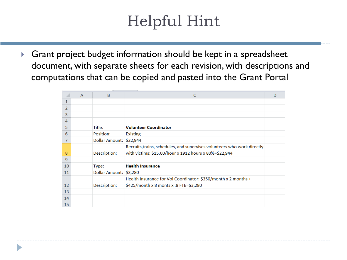## Helpful Hint

 Grant project budget information should be kept in a spreadsheet document, with separate sheets for each revision, with descriptions and computations that can be copied and pasted into the Grant Portal

|                   | $\mathsf{A}$ | B                       | C                                                                        | D |
|-------------------|--------------|-------------------------|--------------------------------------------------------------------------|---|
| 1                 |              |                         |                                                                          |   |
| $\overline{2}$    |              |                         |                                                                          |   |
| 3                 |              |                         |                                                                          |   |
| 4                 |              |                         |                                                                          |   |
| 5                 |              | Title:                  | <b>Volunteer Coordinator</b>                                             |   |
| 6                 |              | Position:               | <b>Existing</b>                                                          |   |
| 7                 |              | Dollar Amount: \$22,944 |                                                                          |   |
|                   |              |                         | Recruits, trains, schedules, and supervises volunteers who work directly |   |
| 8                 |              | Description:            | with victims: \$15.00/hour x 1912 hours x 80%=\$22,944                   |   |
| $\overline{9}$    |              |                         |                                                                          |   |
| 10                |              | Type:                   | <b>Health Insurance</b>                                                  |   |
| 11                |              | Dollar Amount:          | \$3,280                                                                  |   |
|                   |              |                         | Health Insurance for Vol Coordinator: \$350/month x 2 months +           |   |
| $12 \overline{ }$ |              | Description:            | \$425/month x 8 monts x .8 FTE=\$3,280                                   |   |
| 13                |              |                         |                                                                          |   |
| 14                |              |                         |                                                                          |   |
| 15                |              |                         |                                                                          |   |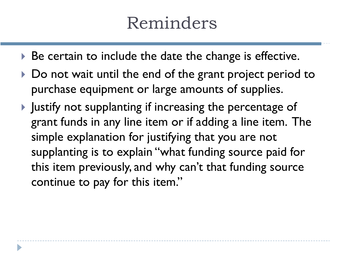# Reminders

- ▶ Be certain to include the date the change is effective.
- ▶ Do not wait until the end of the grant project period to purchase equipment or large amounts of supplies.
- $\blacktriangleright$  Justify not supplanting if increasing the percentage of grant funds in any line item or if adding a line item. The simple explanation for justifying that you are not supplanting is to explain "what funding source paid for this item previously, and why can't that funding source continue to pay for this item."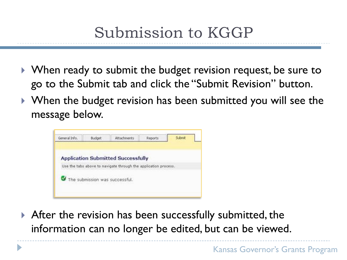- ▶ When ready to submit the budget revision request, be sure to go to the Submit tab and click the "Submit Revision" button.
- ▶ When the budget revision has been submitted you will see the message below.



After the revision has been successfully submitted, the information can no longer be edited, but can be viewed.